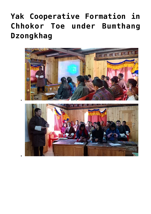## **[Yak Cooperative Formation in](https://www.dol.gov.bt/yak-cooperative-formation-in-chhokor-toe-under-bumthang-dzongkhag/) [Chhokor Toe under Bumthang](https://www.dol.gov.bt/yak-cooperative-formation-in-chhokor-toe-under-bumthang-dzongkhag/) [Dzongkhag](https://www.dol.gov.bt/yak-cooperative-formation-in-chhokor-toe-under-bumthang-dzongkhag/)**

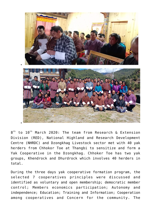

 $8^\text{th}$  to  $10^\text{th}$  March 2020: The team from Research & Extension Division (RED), National Highland and Research Development Centre (NHRDC) and Dzongkhag Livestock sector met with 40 yak herders from Chhokor Toe at Thangbi to sensitize and form a Yak Cooperative in the Dzongkhag. Chhoker Toe has two yak groups, Khendrock and Dhurdrock which involves 40 herders in total.

During the three days yak cooperative formation program, the selected 7 cooperatives principles were discussed and identified as voluntary and open membership; democratic member control; Members economics participation; Autonomy and independence; Education; Training and Information; Cooperation among cooperatives and Concern for the community. The